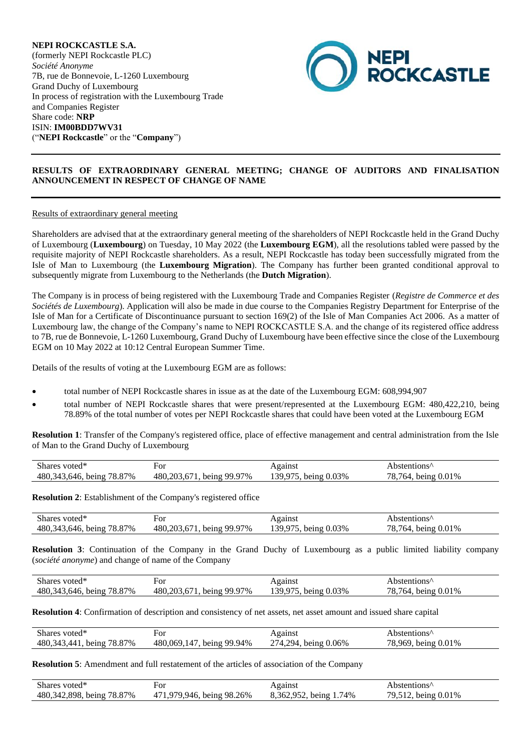**NEPI ROCKCASTLE S.A.** (formerly NEPI Rockcastle PLC) *Société Anonyme* 7B, rue de Bonnevoie, L-1260 Luxembourg Grand Duchy of Luxembourg In process of registration with the Luxembourg Trade and Companies Register Share code: **NRP** ISIN: **IM00BDD7WV31** ("**NEPI Rockcastle**" or the "**Company**")



# **RESULTS OF EXTRAORDINARY GENERAL MEETING; CHANGE OF AUDITORS AND FINALISATION ANNOUNCEMENT IN RESPECT OF CHANGE OF NAME**

## Results of extraordinary general meeting

Shareholders are advised that at the extraordinary general meeting of the shareholders of NEPI Rockcastle held in the Grand Duchy of Luxembourg (**Luxembourg**) on Tuesday, 10 May 2022 (the **Luxembourg EGM**), all the resolutions tabled were passed by the requisite majority of NEPI Rockcastle shareholders. As a result, NEPI Rockcastle has today been successfully migrated from the Isle of Man to Luxembourg (the **Luxembourg Migration**). The Company has further been granted conditional approval to subsequently migrate from Luxembourg to the Netherlands (the **Dutch Migration**).

The Company is in process of being registered with the Luxembourg Trade and Companies Register (*Registre de Commerce et des Sociétés de Luxembourg*). Application will also be made in due course to the Companies Registry Department for Enterprise of the Isle of Man for a Certificate of Discontinuance pursuant to section 169(2) of the Isle of Man Companies Act 2006. As a matter of Luxembourg law, the change of the Company's name to NEPI ROCKCASTLE S.A. and the change of its registered office address to 7B, rue de Bonnevoie, L-1260 Luxembourg, Grand Duchy of Luxembourg have been effective since the close of the Luxembourg EGM on 10 May 2022 at 10:12 Central European Summer Time.

Details of the results of voting at the Luxembourg EGM are as follows:

- total number of NEPI Rockcastle shares in issue as at the date of the Luxembourg EGM: 608,994,907
- total number of NEPI Rockcastle shares that were present/represented at the Luxembourg EGM: 480,422,210, being 78.89% of the total number of votes per NEPI Rockcastle shares that could have been voted at the Luxembourg EGM

**Resolution 1**: Transfer of the Company's registered office, place of effective management and central administration from the Isle of Man to the Grand Duchy of Luxembourg

| Shares voted*               |                           | Against              | Abstentions <sup>^</sup> |
|-----------------------------|---------------------------|----------------------|--------------------------|
| 480, 343, 646, being 78.87% | 480,203,671, being 99.97% | 139,975, being 0.03% | 78,764, being 0.01%      |

**Resolution 2**: Establishment of the Company's registered office

| Shares                                      | For                          | gainst                               | stentions^                     |
|---------------------------------------------|------------------------------|--------------------------------------|--------------------------------|
| voted <sup>*</sup>                          |                              |                                      |                                |
| 70<br>87%<br>480,<br>being<br>h∆r<br>$\sim$ | 99.97%<br>480<br>20<br>heing | .03%<br>39<br>heino<br>$\sim$ 00111- | 01%<br>peing<br>ے∩≀<br>$\cdot$ |

**Resolution 3**: Continuation of the Company in the Grand Duchy of Luxembourg as a public limited liability company (*société anonyme*) and change of name of the Company

| $\sim$<br>Shares voted <sup>*</sup>                            | For                                           | gainst        | .ostentions^          |
|----------------------------------------------------------------|-----------------------------------------------|---------------|-----------------------|
| 78.87%<br>480,343<br>being<br>.646<br>$\overline{\phantom{a}}$ | 480.203<br>-99.97%<br>being<br>h <sub>1</sub> | .03%<br>being | 0.01%<br>'64<br>being |

**Resolution 4**: Confirmation of description and consistency of net assets, net asset amount and issued share capital

| Shares voted*               | ⊦or                       | Against              | Abstentions <sup>"</sup> |
|-----------------------------|---------------------------|----------------------|--------------------------|
| 480, 343, 441, being 78.87% | 480,069,147, being 99.94% | 274,294, being 0.06% | 78,969, being 0.01%      |

**Resolution 5**: Amendment and full restatement of the articles of association of the Company

| Shares voted*               | For                       | Against                | Abstentions <sup>^</sup> |
|-----------------------------|---------------------------|------------------------|--------------------------|
| 480, 342, 898, being 78.87% | 471,979,946, being 98.26% | 8,362,952, being 1.74% | 79,512, being 0.01%      |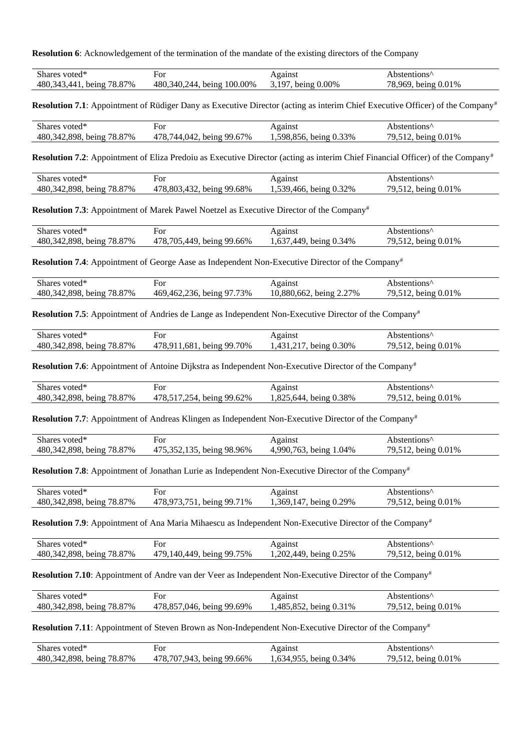**Resolution 6**: Acknowledgement of the termination of the mandate of the existing directors of the Company

| Shares voted*                     | ∺or                                                      | Against                    | bstentions'           |
|-----------------------------------|----------------------------------------------------------|----------------------------|-----------------------|
| 78.87%<br>480.<br>343 44<br>being | 100.00%<br>480. <sup>2</sup><br>$-340o$<br>744.<br>being | $0.00\%$<br>$19-$<br>being | being $0.01\%$<br>969 |

**Resolution 7.1**: Appointment of Rüdiger Dany as Executive Director (acting as interim Chief Executive Officer) of the Company<sup>#</sup>

| Shares voted*               | ror                       | Against                | Abstentions <sup>"</sup> |
|-----------------------------|---------------------------|------------------------|--------------------------|
| 480, 342, 898, being 78.87% | 478,744,042, being 99.67% | 1,598,856, being 0.33% | 79,512, being 0.01%      |

**Resolution 7.2**: Appointment of Eliza Predoiu as Executive Director (acting as interim Chief Financial Officer) of the Company<sup>#</sup>

| voted*<br>Shares             | For                                    | Against                    | Abstentions'                                  |
|------------------------------|----------------------------------------|----------------------------|-----------------------------------------------|
| 480.342.898.<br>being 78.87% | 478.803<br>$\Delta$ 32<br>being 99.68% | 539.466.<br>being $0.32\%$ | being $0.01\%$<br>$\sim$ $\sim$ $\sim$ $\sim$ |

**Resolution 7.3**: Appointment of Marek Pawel Noetzel as Executive Director of the Company#

| , voted*<br><b>Shares</b> | ≓or            | Against | Abstentions' |
|---------------------------|----------------|---------|--------------|
| 898                       | . being 99.    | . 637   | 0.01%        |
| 78.87%                    | 478.705        | 449     | hein o       |
| 480.342                   | $.66\%$        | 34%     | .            |
| being,                    | $\overline{A}$ | being   | ں ۔          |

**Resolution 7.4**: Appointment of George Aase as Independent Non-Executive Director of the Company#

| Shares voted <sup>*</sup>   | For                       | Against                 | Abstentions'        |
|-----------------------------|---------------------------|-------------------------|---------------------|
| 480, 342, 898, being 78.87% | 469,462,236, being 97.73% | 10.880.662, being 2.27% | 79,512, being 0.01% |

**Resolution 7.5**: Appointment of Andries de Lange as Independent Non-Executive Director of the Company<sup>#</sup>

| Shares voted*               | ⊦or                       | Against                | Abstentions <sup>^</sup> |
|-----------------------------|---------------------------|------------------------|--------------------------|
| 480, 342, 898, being 78.87% | 478,911,681, being 99.70% | 1,431,217, being 0.30% | 79,512, being 0.01%      |

**Resolution 7.6**: Appointment of Antoine Dijkstra as Independent Non-Executive Director of the Company#

| Shares<br>voted*                             | For                                    | Against                                         | bstentions^              |
|----------------------------------------------|----------------------------------------|-------------------------------------------------|--------------------------|
| 898<br>.87%<br>347<br>480.<br>78.8.<br>being | 478.<br>being 99.62%<br>$\mathbf{154}$ | $0.82^{5}$<br>38%،ر<br>644<br>being $0_{\cdot}$ | being $0.01\%$<br>◡<br>. |

**Resolution 7.7**: Appointment of Andreas Klingen as Independent Non-Executive Director of the Company#

| Shares voted*               | For                       | Against                | Abstentions <sup>^</sup> |
|-----------------------------|---------------------------|------------------------|--------------------------|
| 480, 342, 898, being 78.87% | 475.352.135, being 98.96% | 4,990,763, being 1.04% | 79,512, being 0.01%      |

**Resolution 7.8**: Appointment of Jonathan Lurie as Independent Non-Executive Director of the Company#

| Shares voted*               | ⊦or                          | Against                    | Abstentions <sup>^</sup> |
|-----------------------------|------------------------------|----------------------------|--------------------------|
| 480, 342, 898, being 78.87% | 478,973,751.<br>being 99.71% | being $0.29\%$<br>.369,147 | 79,512, being 0.01%      |

**Resolution 7.9**: Appointment of Ana Maria Mihaescu as Independent Non-Executive Director of the Company#

| Shares voted*               | For                       | Against               | Abstentions <sup>"</sup>  |
|-----------------------------|---------------------------|-----------------------|---------------------------|
| 480, 342, 898, being 78.87% | 479.140.449, being 99.75% | ,202,449, being 0.25% | 79,512,<br>being $0.01\%$ |

**Resolution 7.10**: Appointment of Andre van der Veer as Independent Non-Executive Director of the Company#

| Shares voted*                  | For                                 | Against                     | Abstentions <sup>"</sup>      |
|--------------------------------|-------------------------------------|-----------------------------|-------------------------------|
| 480, 342, 898,<br>being 78.87% | 478.857<br>being $99.69\%$<br>.046. | ,485,852,<br>being $0.31\%$ | being $0.01\%$<br>$2.4 - 1.4$ |

**Resolution 7.11**: Appointment of Steven Brown as Non-Independent Non-Executive Director of the Company#

| Shares voted*               | For                               | Against                      | Abstentions <sup>^</sup> |
|-----------------------------|-----------------------------------|------------------------------|--------------------------|
| 480, 342, 898, being 78.87% | 478,707,943, 1<br>being $99.66\%$ | 1,634,955,<br>being $0.34\%$ | 79,512, being 0.01%      |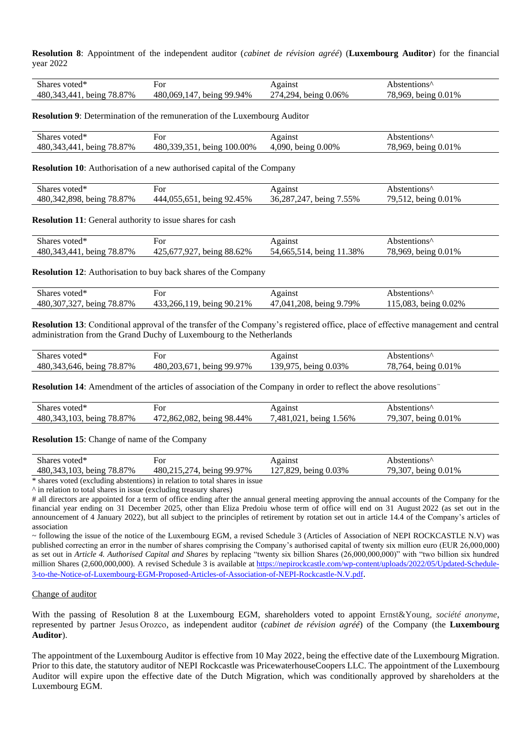**Resolution 8**: Appointment of the independent auditor (*cabinet de révision agréé*) (**Luxembourg Auditor**) for the financial year 2022

| Shares voted*               | For                       | Against              | Abstentions <sup>^</sup> |
|-----------------------------|---------------------------|----------------------|--------------------------|
| 480, 343, 441, being 78.87% | 480,069,147, being 99.94% | 274,294, being 0.06% | 78,969, being 0.01%      |

**Resolution 9**: Determination of the remuneration of the Luxembourg Auditor

| Shares<br>voted*                                       | For                            | Against                  | "bstentions"          |
|--------------------------------------------------------|--------------------------------|--------------------------|-----------------------|
| 87%<br>480.<br>343<br>78.8 <sub>1</sub><br>ΔД<br>being | 480.339.35<br>100.00%<br>being | 4.090.<br>0.00%<br>being | being $0.01\%$<br>969 |

**Resolution 10**: Authorisation of a new authorised capital of the Company

| Shares voted <sup>*</sup>             | For                                          | Against                        | .ostentions    |
|---------------------------------------|----------------------------------------------|--------------------------------|----------------|
| 898<br>342<br>78.87%<br>480.<br>being | being 92.<br>2.45%<br>444<br>- 1155 -<br>'n. | .55%<br>36 287<br>74.<br>being | 0.01%<br>being |

**Resolution 11**: General authority to issue shares for cash

| Shares voted <sup>*</sup>         | For                            | Against                          | Abstentions′'           |
|-----------------------------------|--------------------------------|----------------------------------|-------------------------|
| being 78.87%<br>480,343,<br>`441. | being 88.62%<br>Q27<br>425,677 | 1.38%<br>being<br>54.665.<br>514 | being $0.01\%$<br>.969. |

**Resolution 12**: Authorisation to buy back shares of the Company

| Shares voted*                  | For                       | Against                 | Abstentions <sup>"</sup> |
|--------------------------------|---------------------------|-------------------------|--------------------------|
| being $78.87\%$<br>480,307,327 | 433,266,119, being 90.21% | 47,041,208, being 9.79% | 115,083, being 0.02%     |

**Resolution 13**: Conditional approval of the transfer of the Company's registered office, place of effective management and central administration from the Grand Duchy of Luxembourg to the Netherlands

| Shares voted*               | For          | Against        | Abstentions <sup>"</sup> |
|-----------------------------|--------------|----------------|--------------------------|
| 480, 343, 646, being 78.87% | being 99.97% | 130 075        | being $0.01\%$           |
|                             | 480,203,671  | being $0.03\%$ | 764.                     |

**Resolution 14:** Amendment of the articles of association of the Company in order to reflect the above resolutions~

| <b>Shares</b><br>voted*            | For                                    | Against               | Abstentions''           |
|------------------------------------|----------------------------------------|-----------------------|-------------------------|
| 78.87%<br>103.<br>480.343<br>being | .862.082<br>being 98.44%<br>$47^\circ$ | .481<br>.56%<br>being | 9.307<br>0.01%<br>being |

**Resolution 15**: Change of name of the Company

| Shares<br>voted*                   | For                                           | Against                                               | ostentions^              |
|------------------------------------|-----------------------------------------------|-------------------------------------------------------|--------------------------|
| 78.87%<br>103.<br>480.343<br>being | 480.215<br>$27\pi$<br>$.97\%$<br>QQ<br>being. | $\sigma$ 0.03%<br>829<br>$\sim$<br>heing ()<br>$\sim$ | 79.307<br>being $0.01\%$ |
|                                    |                                               |                                                       |                          |

\* shares voted (excluding abstentions) in relation to total shares in issue

^ in relation to total shares in issue (excluding treasury shares)

# all directors are appointed for a term of office ending after the annual general meeting approving the annual accounts of the Company for the financial year ending on 31 December 2025, other than Eliza Predoiu whose term of office will end on 31 August 2022 (as set out in the announcement of 4 January 2022), but all subject to the principles of retirement by rotation set out in article 14.4 of the Company's articles of association

~ following the issue of the notice of the Luxembourg EGM, a revised Schedule 3 (Articles of Association of NEPI ROCKCASTLE N.V) was published correcting an error in the number of shares comprising the Company's authorised capital of twenty six million euro (EUR 26,000,000) as set out in *Article 4. Authorised Capital and Shares* by replacing "twenty six billion Shares (26,000,000,000)" with "two billion six hundred million Shares (2,600,000,000). A revised Schedule 3 is available a[t https://nepirockcastle.com/wp-content/uploads/2022/05/Updated-Schedule-](https://nepirockcastle.com/wp-content/uploads/2022/05/Updated-Schedule-3-to-the-Notice-of-Luxembourg-EGM-Proposed-Articles-of-Association-of-NEPI-Rockcastle-N.V.pdf)[3-to-the-Notice-of-Luxembourg-EGM-Proposed-Articles-of-Association-of-NEPI-Rockcastle-N.V.pdf](https://nepirockcastle.com/wp-content/uploads/2022/05/Updated-Schedule-3-to-the-Notice-of-Luxembourg-EGM-Proposed-Articles-of-Association-of-NEPI-Rockcastle-N.V.pdf).

#### Change of auditor

With the passing of Resolution 8 at the Luxembourg EGM, shareholders voted to appoint Ernst&Young, *société anonyme*, represented by partner Jesus Orozco, as independent auditor (*cabinet de révision agréé*) of the Company (the **Luxembourg Auditor**).

The appointment of the Luxembourg Auditor is effective from 10 May 2022, being the effective date of the Luxembourg Migration. Prior to this date, the statutory auditor of NEPI Rockcastle was PricewaterhouseCoopers LLC. The appointment of the Luxembourg Auditor will expire upon the effective date of the Dutch Migration, which was conditionally approved by shareholders at the Luxembourg EGM.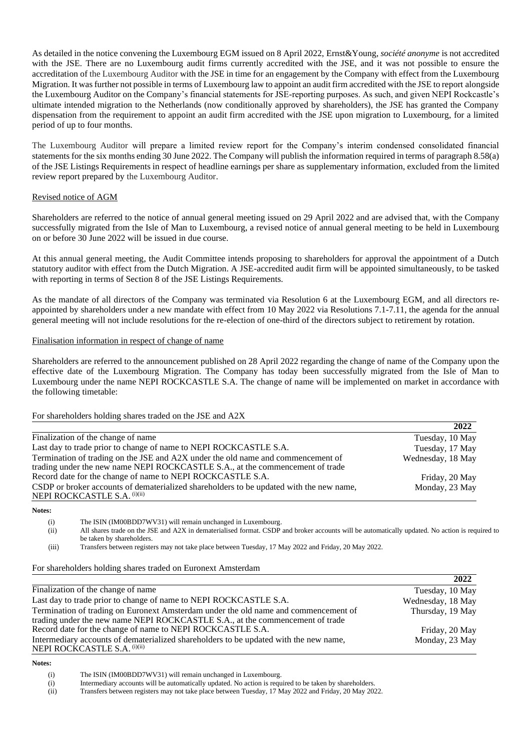As detailed in the notice convening the Luxembourg EGM issued on 8 April 2022, Ernst&Young, *société anonyme* is not accredited with the JSE. There are no Luxembourg audit firms currently accredited with the JSE, and it was not possible to ensure the accreditation of the Luxembourg Auditor with the JSE in time for an engagement by the Company with effect from the Luxembourg Migration. It was further not possible in terms of Luxembourg law to appoint an audit firm accredited with the JSE to report alongside the Luxembourg Auditor on the Company's financial statements for JSE-reporting purposes. As such, and given NEPI Rockcastle's ultimate intended migration to the Netherlands (now conditionally approved by shareholders), the JSE has granted the Company dispensation from the requirement to appoint an audit firm accredited with the JSE upon migration to Luxembourg, for a limited period of up to four months.

The Luxembourg Auditor will prepare a limited review report for the Company's interim condensed consolidated financial statements for the six months ending 30 June 2022. The Company will publish the information required in terms of paragraph 8.58(a) of the JSE Listings Requirements in respect of headline earnings per share as supplementary information, excluded from the limited review report prepared by the Luxembourg Auditor.

## Revised notice of AGM

Shareholders are referred to the notice of annual general meeting issued on 29 April 2022 and are advised that, with the Company successfully migrated from the Isle of Man to Luxembourg, a revised notice of annual general meeting to be held in Luxembourg on or before 30 June 2022 will be issued in due course.

At this annual general meeting, the Audit Committee intends proposing to shareholders for approval the appointment of a Dutch statutory auditor with effect from the Dutch Migration. A JSE-accredited audit firm will be appointed simultaneously, to be tasked with reporting in terms of Section 8 of the JSE Listings Requirements.

As the mandate of all directors of the Company was terminated via Resolution 6 at the Luxembourg EGM, and all directors reappointed by shareholders under a new mandate with effect from 10 May 2022 via Resolutions 7.1-7.11, the agenda for the annual general meeting will not include resolutions for the re-election of one-third of the directors subject to retirement by rotation.

## Finalisation information in respect of change of name

Shareholders are referred to the announcement published on 28 April 2022 regarding the change of name of the Company upon the effective date of the Luxembourg Migration. The Company has today been successfully migrated from the Isle of Man to Luxembourg under the name NEPI ROCKCASTLE S.A. The change of name will be implemented on market in accordance with the following timetable:

## For shareholders holding shares traded on the JSE and A2X

|                                                                                                                                                                   | 2022              |
|-------------------------------------------------------------------------------------------------------------------------------------------------------------------|-------------------|
| Finalization of the change of name                                                                                                                                | Tuesday, 10 May   |
| Last day to trade prior to change of name to NEPI ROCKCASTLE S.A.                                                                                                 | Tuesday, 17 May   |
| Termination of trading on the JSE and A2X under the old name and commencement of<br>trading under the new name NEPI ROCKCASTLE S.A., at the commencement of trade | Wednesday, 18 May |
| Record date for the change of name to NEPI ROCKCASTLE S.A.                                                                                                        | Friday, 20 May    |
| CSDP or broker accounts of dematerialized shareholders to be updated with the new name,<br>NEPI ROCKCASTLE S.A. (i)(ii)                                           | Monday, 23 May    |

**Notes:** 

(i) The ISIN (IM00BDD7WV31) will remain unchanged in Luxembourg.

(ii) All shares trade on the JSE and A2X in dematerialised format. CSDP and broker accounts will be automatically updated. No action is required to be taken by shareholders.

(iii) Transfers between registers may not take place between Tuesday, 17 May 2022 and Friday, 20 May 2022.

#### For shareholders holding shares traded on Euronext Amsterdam

|                                                                                                                                                                      | 2022              |
|----------------------------------------------------------------------------------------------------------------------------------------------------------------------|-------------------|
| Finalization of the change of name                                                                                                                                   | Tuesday, 10 May   |
| Last day to trade prior to change of name to NEPI ROCKCASTLE S.A.                                                                                                    | Wednesday, 18 May |
| Termination of trading on Euronext Amsterdam under the old name and commencement of<br>trading under the new name NEPI ROCKCASTLE S.A., at the commencement of trade | Thursday, 19 May  |
| Record date for the change of name to NEPI ROCKCASTLE S.A.                                                                                                           | Friday, 20 May    |
| Intermediary accounts of dematerialized shareholders to be updated with the new name,<br>NEPI ROCKCASTLE S.A. (i)(ii)                                                | Monday, 23 May    |

#### **Notes:**

(i) The ISIN (IM00BDD7WV31) will remain unchanged in Luxembourg.

(i) Intermediary accounts will be automatically updated. No action is required to be taken by shareholders.

(ii) Transfers between registers may not take place between Tuesday, 17 May 2022 and Friday, 20 May 2022.